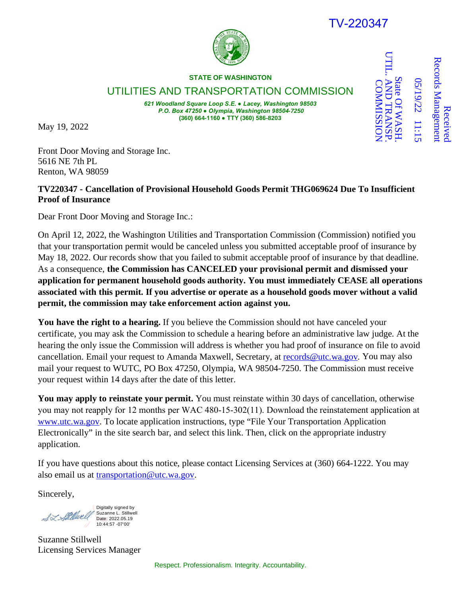## 1-220347

Received

Receive

Records Management

**Records Managemen** 

State Of WASH.

UTIL. AND TRANSP.

**AND TRANSI** State Of WASF

UTILL.

COMMISSION

**COMMISSION** 

05/19/22 11:15

05/19/22 11:15



**STATE OF WASHINGTON**

UTILITIES AND TRANSPORTATION COMMISSION

*621 Woodland Square Loop S.E. ● Lacey, Washington 98503 P.O. Box 47250 ● Olympia, Washington 98504-7250* **(360) 664-1160 ● TTY (360) 586-8203**

May 19, 2022

Front Door Moving and Storage Inc. 5616 NE 7th PL Renton, WA 98059

## **TV220347 - Cancellation of Provisional Household Goods Permit THG069624 Due To Insufficient Proof of Insurance**

Dear Front Door Moving and Storage Inc.:

On April 12, 2022, the Washington Utilities and Transportation Commission (Commission) notified you that your transportation permit would be canceled unless you submitted acceptable proof of insurance by May 18, 2022. Our records show that you failed to submit acceptable proof of insurance by that deadline. As a consequence, **the Commission has CANCELED your provisional permit and dismissed your application for permanent household goods authority. You must immediately CEASE all operations associated with this permit. If you advertise or operate as a household goods mover without a valid permit, the commission may take enforcement action against you.**

You have the right to a hearing. If you believe the Commission should not have canceled your certificate, you may ask the Commission to schedule a hearing before an administrative law judge. At the hearing the only issue the Commission will address is whether you had proof of insurance on file to avoid cancellation. Email your request to Amanda Maxwell, Secretary, at [records@utc.wa.gov.](mailto:records@utc.wa.gov) You may also mail your request to WUTC, PO Box 47250, Olympia, WA 98504-7250. The Commission must receive your request within 14 days after the date of this letter.

**You may apply to reinstate your permit.** You must reinstate within 30 days of cancellation, otherwise you may not reapply for 12 months per WAC 480‐15‐302(11). Download the reinstatement application at [www.utc.wa.gov.](http://www.utc.wa.gov/) To locate application instructions, type ["File Your Transportation Application](https://www.utc.wa.gov/regulatedIndustries/transportation/Pages/EfilePermitApplications.aspx) [Electronically"](https://www.utc.wa.gov/regulatedIndustries/transportation/Pages/EfilePermitApplications.aspx) in the site search bar, and select this link. Then, click on the appropriate industry application.

If you have questions about this notice, please contact Licensing Services at (360) 664-1222. You may also email us at [transportation@utc.wa.gov.](mailto:transportation@utc.wa.gov)

Sincerely,

Digitally signed by SZ Stillwell Suzanne L. Stillwell Date: 2022.05.19 10:44:57 -07'00'

Suzanne Stillwell Licensing Services Manager